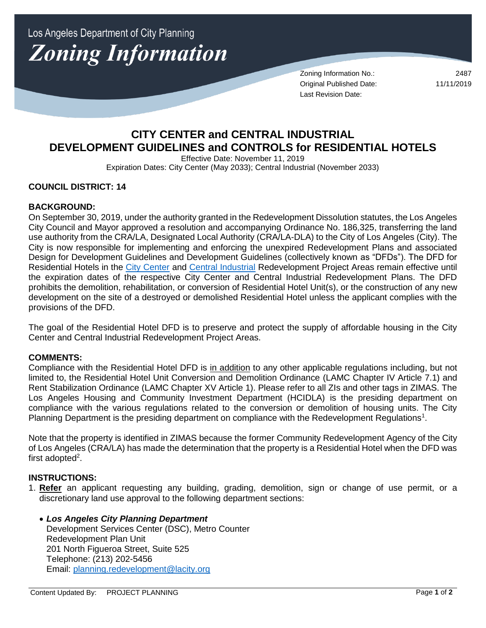Los Angeles Department of City Planning **Zoning Information** 

> Zoning Information No.: 2487 Original Published Date: 11/11/2019 Last Revision Date:

# **CITY CENTER and CENTRAL INDUSTRIAL DEVELOPMENT GUIDELINES and CONTROLS for RESIDENTIAL HOTELS**

Effective Date: November 11, 2019 Expiration Dates: City Center (May 2033); Central Industrial (November 2033)

# **COUNCIL DISTRICT: 14**

## **BACKGROUND:**

On September 30, 2019, under the authority granted in the Redevelopment Dissolution statutes, the Los Angeles City Council and Mayor approved a resolution and accompanying Ordinance No. 186,325, transferring the land use authority from the CRA/LA, Designated Local Authority (CRA/LA-DLA) to the City of Los Angeles (City). The City is now responsible for implementing and enforcing the unexpired Redevelopment Plans and associated Design for Development Guidelines and Development Guidelines (collectively known as "DFDs"). The DFD for Residential Hotels in the [City Center](https://planning.lacity.org/plans-policies/overlays/city-center) and [Central Industrial](https://planning.lacity.org/plans-policies/overlays/central-industrial) Redevelopment Project Areas remain effective until the expiration dates of the respective City Center and Central Industrial Redevelopment Plans. The DFD prohibits the demolition, rehabilitation, or conversion of Residential Hotel Unit(s), or the construction of any new development on the site of a destroyed or demolished Residential Hotel unless the applicant complies with the provisions of the DFD.

The goal of the Residential Hotel DFD is to preserve and protect the supply of affordable housing in the City Center and Central Industrial Redevelopment Project Areas.

#### **COMMENTS:**

Compliance with the Residential Hotel DFD is in addition to any other applicable regulations including, but not limited to, the Residential Hotel Unit Conversion and Demolition Ordinance (LAMC Chapter IV Article 7.1) and Rent Stabilization Ordinance (LAMC Chapter XV Article 1). Please refer to all ZIs and other tags in ZIMAS. The Los Angeles Housing and Community Investment Department (HCIDLA) is the presiding department on compliance with the various regulations related to the conversion or demolition of housing units. The City Planning Department is the presiding department on compliance with the Redevelopment Regulations<sup>1</sup>.

Note that the property is identified in ZIMAS because the former Community Redevelopment Agency of the City of Los Angeles (CRA/LA) has made the determination that the property is a Residential Hotel when the DFD was first adopted<sup>2</sup>.

# **INSTRUCTIONS:**

- 1. **Refer** an applicant requesting any building, grading, demolition, sign or change of use permit, or a discretionary land use approval to the following department sections:
	- *Los Angeles City Planning Department* Development Services Center (DSC), Metro Counter Redevelopment Plan Unit 201 North Figueroa Street, Suite 525 Telephone: (213) 202-5456 Email: [planning.redevelopment@lacity.org](mailto:planning.redevelopment@lacity.org)